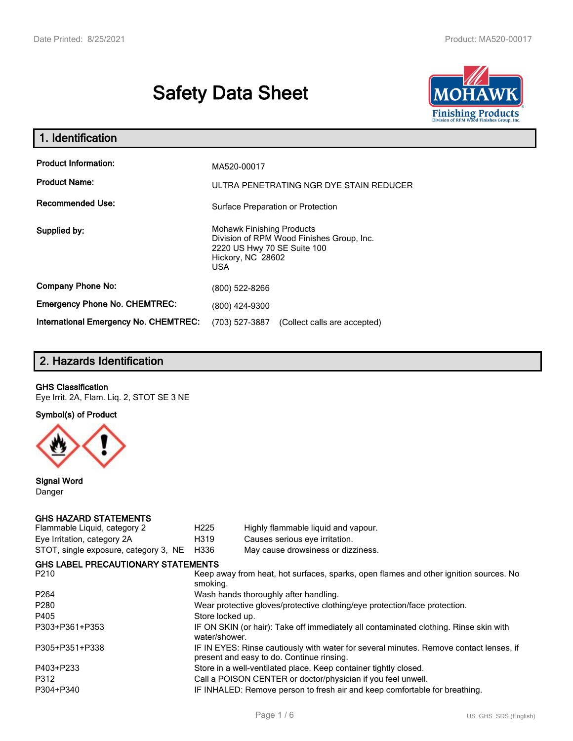# **Safety Data Sheet**



| 1. Identification                                                              |                                                                                                                                          |  |  |  |
|--------------------------------------------------------------------------------|------------------------------------------------------------------------------------------------------------------------------------------|--|--|--|
| <b>Product Information:</b><br><b>Product Name:</b><br><b>Recommended Use:</b> | MA520-00017<br>ULTRA PENETRATING NGR DYE STAIN REDUCER                                                                                   |  |  |  |
|                                                                                | Surface Preparation or Protection                                                                                                        |  |  |  |
| Supplied by:                                                                   | <b>Mohawk Finishing Products</b><br>Division of RPM Wood Finishes Group, Inc.<br>2220 US Hwy 70 SE Suite 100<br>Hickory, NC 28602<br>USA |  |  |  |
| <b>Company Phone No:</b>                                                       | (800) 522-8266                                                                                                                           |  |  |  |
| <b>Emergency Phone No. CHEMTREC:</b>                                           | (800) 424-9300                                                                                                                           |  |  |  |
| <b>International Emergency No. CHEMTREC:</b>                                   | (703) 527-3887<br>(Collect calls are accepted)                                                                                           |  |  |  |

# **2. Hazards Identification**

#### **GHS Classification**

Eye Irrit. 2A, Flam. Liq. 2, STOT SE 3 NE

**Symbol(s) of Product**



**Signal Word** Danger

#### **GHS HAZARD STATEMENTS**

| H <sub>225</sub>                                                                                  | Highly flammable liquid and vapour.                                                                                                 |  |  |
|---------------------------------------------------------------------------------------------------|-------------------------------------------------------------------------------------------------------------------------------------|--|--|
| H319                                                                                              | Causes serious eye irritation.                                                                                                      |  |  |
| H336                                                                                              | May cause drowsiness or dizziness.                                                                                                  |  |  |
|                                                                                                   |                                                                                                                                     |  |  |
| Keep away from heat, hot surfaces, sparks, open flames and other ignition sources. No<br>smoking. |                                                                                                                                     |  |  |
|                                                                                                   | Wash hands thoroughly after handling.                                                                                               |  |  |
|                                                                                                   | Wear protective gloves/protective clothing/eye protection/face protection.                                                          |  |  |
| Store locked up.                                                                                  |                                                                                                                                     |  |  |
| water/shower.                                                                                     | IF ON SKIN (or hair): Take off immediately all contaminated clothing. Rinse skin with                                               |  |  |
|                                                                                                   | IF IN EYES: Rinse cautiously with water for several minutes. Remove contact lenses, if<br>present and easy to do. Continue rinsing. |  |  |
|                                                                                                   | Store in a well-ventilated place. Keep container tightly closed.                                                                    |  |  |
|                                                                                                   | Call a POISON CENTER or doctor/physician if you feel unwell.                                                                        |  |  |
|                                                                                                   | IF INHALED: Remove person to fresh air and keep comfortable for breathing.                                                          |  |  |
|                                                                                                   | <b>GHS LABEL PRECAUTIONARY STATEMENTS</b>                                                                                           |  |  |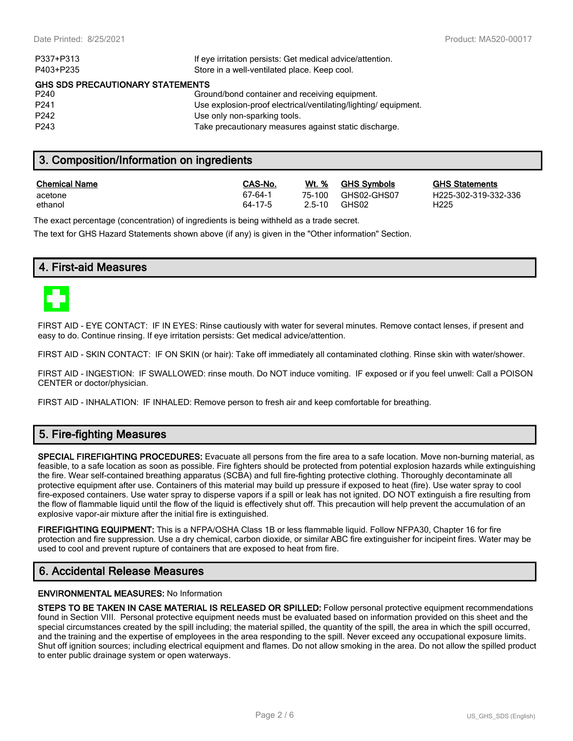| P337+P313                               | If eye irritation persists: Get medical advice/attention.      |
|-----------------------------------------|----------------------------------------------------------------|
| P403+P235                               | Store in a well-ventilated place. Keep cool.                   |
| <b>GHS SDS PRECAUTIONARY STATEMENTS</b> |                                                                |
| P240                                    | Ground/bond container and receiving equipment.                 |
| P <sub>241</sub>                        | Use explosion-proof electrical/ventilating/lighting/equipment. |
| P <sub>242</sub>                        | Use only non-sparking tools.                                   |
| P <sub>243</sub>                        | Take precautionary measures against static discharge.          |
|                                         |                                                                |

# **3. Composition/Information on ingredients**

| <b>Chemical Name</b> | CAS-No. | Wt. %  | <b>GHS Symbols</b> | <u>GHS</u>       |
|----------------------|---------|--------|--------------------|------------------|
| acetone              | 67-64-1 | 75-100 | GHS02-GHS07        | H <sub>225</sub> |
| ethanol              | 64-17-5 | 2.5-10 | GHS02              | H <sub>225</sub> |

**GHS Statements** H225-302-319-332-336

The exact percentage (concentration) of ingredients is being withheld as a trade secret.

The text for GHS Hazard Statements shown above (if any) is given in the "Other information" Section.

## **4. First-aid Measures**



FIRST AID - EYE CONTACT: IF IN EYES: Rinse cautiously with water for several minutes. Remove contact lenses, if present and easy to do. Continue rinsing. If eye irritation persists: Get medical advice/attention.

FIRST AID - SKIN CONTACT: IF ON SKIN (or hair): Take off immediately all contaminated clothing. Rinse skin with water/shower.

FIRST AID - INGESTION: IF SWALLOWED: rinse mouth. Do NOT induce vomiting. IF exposed or if you feel unwell: Call a POISON CENTER or doctor/physician.

FIRST AID - INHALATION: IF INHALED: Remove person to fresh air and keep comfortable for breathing.

# **5. Fire-fighting Measures**

**SPECIAL FIREFIGHTING PROCEDURES:** Evacuate all persons from the fire area to a safe location. Move non-burning material, as feasible, to a safe location as soon as possible. Fire fighters should be protected from potential explosion hazards while extinguishing the fire. Wear self-contained breathing apparatus (SCBA) and full fire-fighting protective clothing. Thoroughly decontaminate all protective equipment after use. Containers of this material may build up pressure if exposed to heat (fire). Use water spray to cool fire-exposed containers. Use water spray to disperse vapors if a spill or leak has not ignited. DO NOT extinguish a fire resulting from the flow of flammable liquid until the flow of the liquid is effectively shut off. This precaution will help prevent the accumulation of an explosive vapor-air mixture after the initial fire is extinguished.

**FIREFIGHTING EQUIPMENT:** This is a NFPA/OSHA Class 1B or less flammable liquid. Follow NFPA30, Chapter 16 for fire protection and fire suppression. Use a dry chemical, carbon dioxide, or similar ABC fire extinguisher for incipeint fires. Water may be used to cool and prevent rupture of containers that are exposed to heat from fire.

# **6. Accidental Release Measures**

#### **ENVIRONMENTAL MEASURES:** No Information

**STEPS TO BE TAKEN IN CASE MATERIAL IS RELEASED OR SPILLED:** Follow personal protective equipment recommendations found in Section VIII. Personal protective equipment needs must be evaluated based on information provided on this sheet and the special circumstances created by the spill including; the material spilled, the quantity of the spill, the area in which the spill occurred, and the training and the expertise of employees in the area responding to the spill. Never exceed any occupational exposure limits. Shut off ignition sources; including electrical equipment and flames. Do not allow smoking in the area. Do not allow the spilled product to enter public drainage system or open waterways.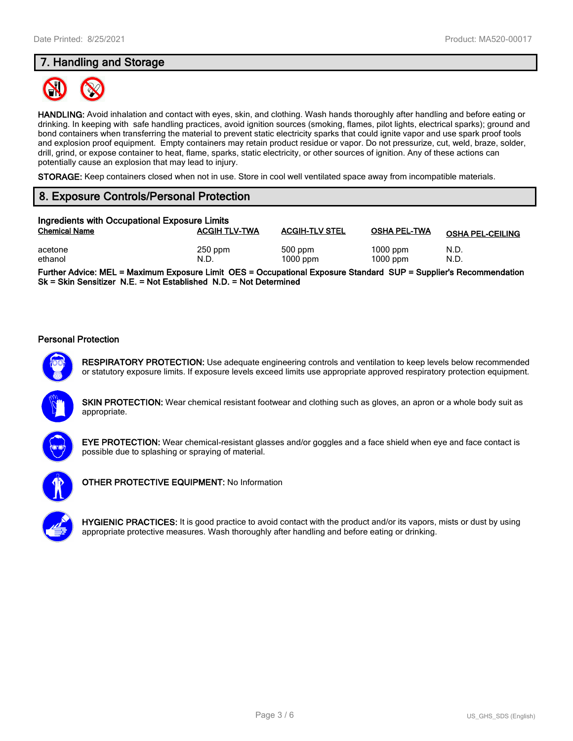# **7. Handling and Storage**



**HANDLING:** Avoid inhalation and contact with eyes, skin, and clothing. Wash hands thoroughly after handling and before eating or drinking. In keeping with safe handling practices, avoid ignition sources (smoking, flames, pilot lights, electrical sparks); ground and bond containers when transferring the material to prevent static electricity sparks that could ignite vapor and use spark proof tools and explosion proof equipment. Empty containers may retain product residue or vapor. Do not pressurize, cut, weld, braze, solder, drill, grind, or expose container to heat, flame, sparks, static electricity, or other sources of ignition. Any of these actions can potentially cause an explosion that may lead to injury.

**STORAGE:** Keep containers closed when not in use. Store in cool well ventilated space away from incompatible materials.

# **8. Exposure Controls/Personal Protection**

| Ingredients with Occupational Exposure Limits |                      |                         |                          |                         |  |
|-----------------------------------------------|----------------------|-------------------------|--------------------------|-------------------------|--|
| <b>Chemical Name</b>                          | <b>ACGIH TLV-TWA</b> | <b>ACGIH-TLV STEL</b>   | <b>OSHA PEL-TWA</b>      | <b>OSHA PEL-CEILING</b> |  |
| acetone<br>ethanol                            | $250$ ppm<br>N.D.    | $500$ ppm<br>$1000$ ppm | $1000$ ppm<br>$1000$ ppm | N.D.<br>N.D.            |  |

**Further Advice: MEL = Maximum Exposure Limit OES = Occupational Exposure Standard SUP = Supplier's Recommendation Sk = Skin Sensitizer N.E. = Not Established N.D. = Not Determined**

#### **Personal Protection**



**RESPIRATORY PROTECTION:** Use adequate engineering controls and ventilation to keep levels below recommended or statutory exposure limits. If exposure levels exceed limits use appropriate approved respiratory protection equipment.

**SKIN PROTECTION:** Wear chemical resistant footwear and clothing such as gloves, an apron or a whole body suit as appropriate.



**EYE PROTECTION:** Wear chemical-resistant glasses and/or goggles and a face shield when eye and face contact is possible due to splashing or spraying of material.



**OTHER PROTECTIVE EQUIPMENT:** No Information



**HYGIENIC PRACTICES:** It is good practice to avoid contact with the product and/or its vapors, mists or dust by using appropriate protective measures. Wash thoroughly after handling and before eating or drinking.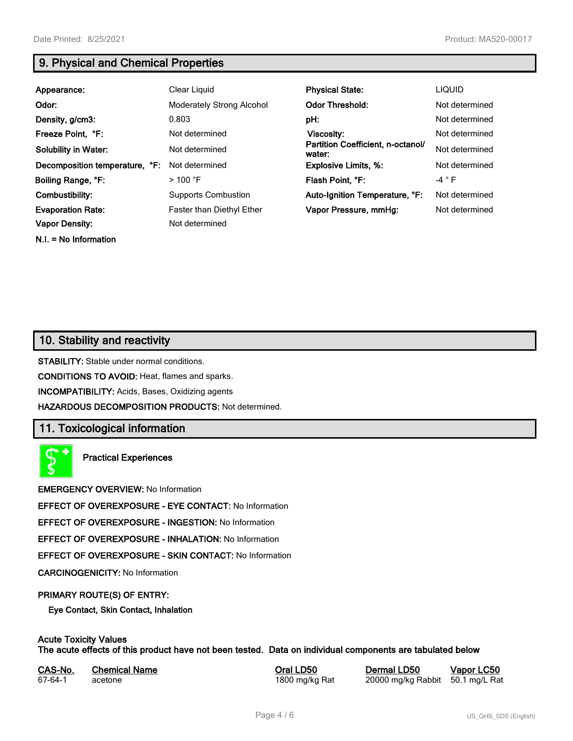**N.I. = No Information**

# **9. Physical and Chemical Properties**

| Appearance:                                       | Clear Liquid                                       | <b>Physical State:</b>                      | <b>LIQUID</b>  |
|---------------------------------------------------|----------------------------------------------------|---------------------------------------------|----------------|
| Odor:                                             | <b>Moderately Strong Alcohol</b>                   | <b>Odor Threshold:</b>                      | Not determined |
| Density, g/cm3:                                   | 0.803                                              | pH:                                         | Not determined |
| Freeze Point, °F:                                 | Not determined                                     | <b>Viscosity:</b>                           | Not determined |
| <b>Solubility in Water:</b>                       | Not determined                                     | Partition Coefficient, n-octanol/<br>water: | Not determined |
| Decomposition temperature, °F:                    | Not determined                                     | <b>Explosive Limits, %:</b>                 | Not determined |
| Boiling Range, °F:                                | >100 °F                                            | Flash Point. °F:                            | $-4$ $\circ$ F |
| Combustibility:                                   | <b>Supports Combustion</b>                         | Auto-Ignition Temperature, °F:              | Not determined |
| <b>Evaporation Rate:</b><br><b>Vapor Density:</b> | <b>Faster than Diethyl Ether</b><br>Not determined | Vapor Pressure, mmHg:                       | Not determined |

# **10. Stability and reactivity**

**STABILITY:** Stable under normal conditions.

**CONDITIONS TO AVOID:** Heat, flames and sparks.

**INCOMPATIBILITY:** Acids, Bases, Oxidizing agents

**HAZARDOUS DECOMPOSITION PRODUCTS:** Not determined.

# **11. Toxicological information**

**Practical Experiences**

**EMERGENCY OVERVIEW:** No Information

**EFFECT OF OVEREXPOSURE - EYE CONTACT:** No Information

**EFFECT OF OVEREXPOSURE - INGESTION:** No Information

**EFFECT OF OVEREXPOSURE - INHALATION:** No Information

**EFFECT OF OVEREXPOSURE - SKIN CONTACT:** No Information

**CARCINOGENICITY:** No Information

#### **PRIMARY ROUTE(S) OF ENTRY:**

**Eye Contact, Skin Contact, Inhalation**

# **Acute Toxicity Values**

**The acute effects of this product have not been tested. Data on individual components are tabulated below**

| CAS-No. | <b>Chemical Name</b> |
|---------|----------------------|
| 67-64-1 | acetone              |

**Casary Chemical Chemical LD50 Chemical LD50 Vapor LC50** 1800 mg/kg Rat 20000 mg/kg Rabbit 50.1 mg/L Rat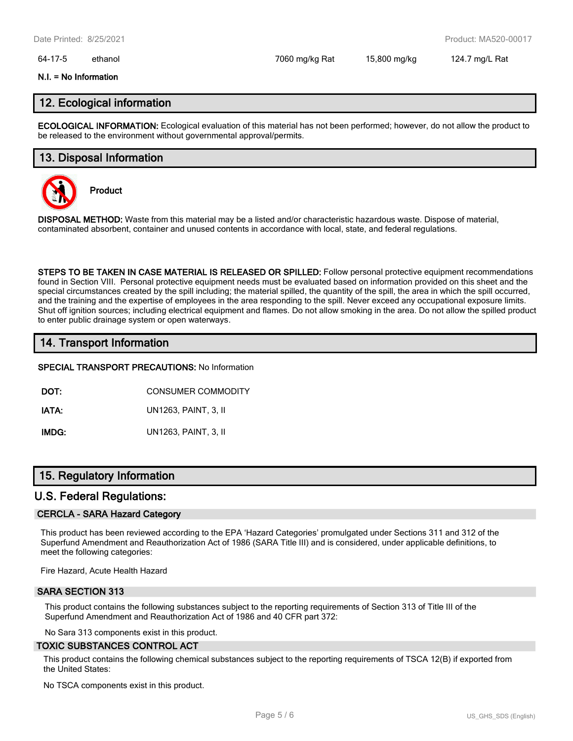#### 64-17-5 ethanol 7060 mg/kg Rat 15,800 mg/kg 124.7 mg/L Rat

#### **N.I. = No Information**

## **12. Ecological information**

**ECOLOGICAL INFORMATION:** Ecological evaluation of this material has not been performed; however, do not allow the product to be released to the environment without governmental approval/permits.

### **13. Disposal Information**



**Product**

**DISPOSAL METHOD:** Waste from this material may be a listed and/or characteristic hazardous waste. Dispose of material, contaminated absorbent, container and unused contents in accordance with local, state, and federal regulations.

**STEPS TO BE TAKEN IN CASE MATERIAL IS RELEASED OR SPILLED:** Follow personal protective equipment recommendations found in Section VIII. Personal protective equipment needs must be evaluated based on information provided on this sheet and the special circumstances created by the spill including; the material spilled, the quantity of the spill, the area in which the spill occurred, and the training and the expertise of employees in the area responding to the spill. Never exceed any occupational exposure limits. Shut off ignition sources; including electrical equipment and flames. Do not allow smoking in the area. Do not allow the spilled product to enter public drainage system or open waterways.

# **14. Transport Information**

#### **SPECIAL TRANSPORT PRECAUTIONS:** No Information

**DOT:** CONSUMER COMMODITY

**IATA:** UN1263, PAINT, 3, II

**IMDG:** UN1263, PAINT, 3, II

# **15. Regulatory Information**

#### **U.S. Federal Regulations:**

#### **CERCLA - SARA Hazard Category**

This product has been reviewed according to the EPA 'Hazard Categories' promulgated under Sections 311 and 312 of the Superfund Amendment and Reauthorization Act of 1986 (SARA Title III) and is considered, under applicable definitions, to meet the following categories:

Fire Hazard, Acute Health Hazard

#### **SARA SECTION 313**

This product contains the following substances subject to the reporting requirements of Section 313 of Title III of the Superfund Amendment and Reauthorization Act of 1986 and 40 CFR part 372:

No Sara 313 components exist in this product.

#### **TOXIC SUBSTANCES CONTROL ACT**

This product contains the following chemical substances subject to the reporting requirements of TSCA 12(B) if exported from the United States:

No TSCA components exist in this product.